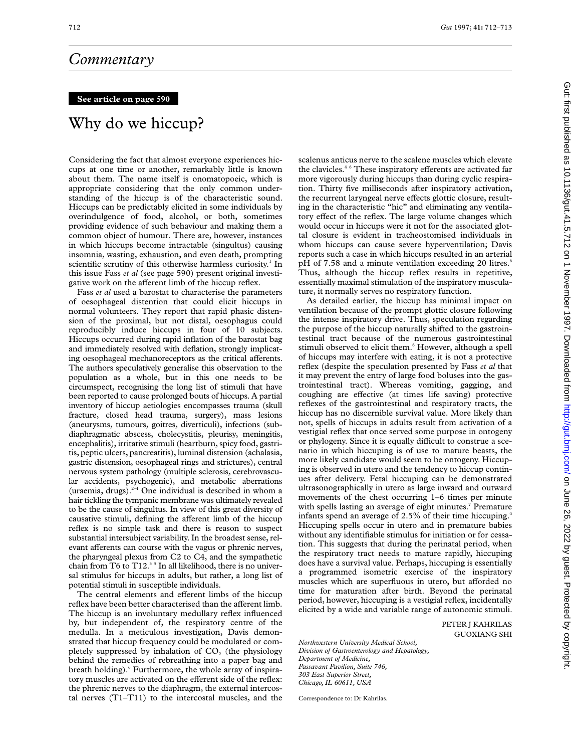## *Commentary*

## **See article on page 590**

## Why do we hiccup?

Considering the fact that almost everyone experiences hiccups at one time or another, remarkably little is known about them. The name itself is onomatopoeic, which is appropriate considering that the only common understanding of the hiccup is of the characteristic sound. Hiccups can be predictably elicited in some individuals by overindulgence of food, alcohol, or both, sometimes providing evidence of such behaviour and making them a common object of humour. There are, however, instances in which hiccups become intractable (singultus) causing insomnia, wasting, exhaustion, and even death, prompting scientific scrutiny of this otherwise harmless curiosity.<sup>1</sup> In this issue Fass *et al* (see page 590) present original investigative work on the afferent limb of the hiccup reflex.

Fass *et al* used a barostat to characterise the parameters of oesophageal distention that could elicit hiccups in normal volunteers. They report that rapid phasic distension of the proximal, but not distal, oesophagus could reproducibly induce hiccups in four of 10 subjects. Hiccups occurred during rapid inflation of the barostat bag and immediately resolved with deflation, strongly implicating oesophageal mechanoreceptors as the critical afferents. The authors speculatively generalise this observation to the population as a whole, but in this one needs to be circumspect, recognising the long list of stimuli that have been reported to cause prolonged bouts of hiccups. A partial inventory of hiccup aetiologies encompasses trauma (skull fracture, closed head trauma, surgery), mass lesions (aneurysms, tumours, goitres, diverticuli), infections (subdiaphragmatic abscess, cholecystitis, pleurisy, meningitis, encephalitis), irritative stimuli (heartburn, spicy food, gastritis, peptic ulcers, pancreatitis), luminal distension (achalasia, gastric distension, oesophageal rings and strictures), central nervous system pathology (multiple sclerosis, cerebrovascular accidents, psychogenic), and metabolic aberrations (uraemia, drugs). $2-4$  One individual is described in whom a hair tickling the tympanic membrane was ultimately revealed to be the cause of singultus. In view of this great diversity of causative stimuli, defining the afferent limb of the hiccup reflex is no simple task and there is reason to suspect substantial intersubject variability. In the broadest sense, relevant afferents can course with the vagus or phrenic nerves, the pharyngeal plexus from C2 to C4, and the sympathetic chain from T6 to  $T12<sup>35</sup>$  In all likelihood, there is no universal stimulus for hiccups in adults, but rather, a long list of potential stimuli in susceptible individuals.

The central elements and efferent limbs of the hiccup reflex have been better characterised than the afferent limb. The hiccup is an involuntary medullary reflex influenced by, but independent of, the respiratory centre of the medulla. In a meticulous investigation, Davis demonstrated that hiccup frequency could be modulated or completely suppressed by inhalation of  $CO<sub>2</sub>$  (the physiology behind the remedies of rebreathing into a paper bag and breath holding).<sup>6</sup> Furthermore, the whole array of inspiratory muscles are activated on the efferent side of the reflex: the phrenic nerves to the diaphragm, the external intercostal nerves (T1–T11) to the intercostal muscles, and the

scalenus anticus nerve to the scalene muscles which elevate the clavicles.<sup>46</sup> These inspiratory efferents are activated far more vigorously during hiccups than during cyclic respiration. Thirty five milliseconds after inspiratory activation, the recurrent laryngeal nerve effects glottic closure, resulting in the characteristic "hic" and eliminating any ventilatory effect of the reflex. The large volume changes which would occur in hiccups were it not for the associated glottal closure is evident in tracheostomised individuals in whom hiccups can cause severe hyperventilation; Davis reports such a case in which hiccups resulted in an arterial pH of 7.58 and a minute ventilation exceeding 20 litres.<sup>6</sup> Thus, although the hiccup reflex results in repetitive, essentially maximal stimulation of the inspiratory musculature, it normally serves no respiratory function.

As detailed earlier, the hiccup has minimal impact on ventilation because of the prompt glottic closure following the intense inspiratory drive. Thus, speculation regarding the purpose of the hiccup naturally shifted to the gastrointestinal tract because of the numerous gastrointestinal stimuli observed to elicit them.<sup>6</sup> However, although a spell of hiccups may interfere with eating, it is not a protective reflex (despite the speculation presented by Fass *et al* that it may prevent the entry of large food boluses into the gastrointestinal tract). Whereas vomiting, gagging, and coughing are effective (at times life saving) protective reflexes of the gastrointestinal and respiratory tracts, the hiccup has no discernible survival value. More likely than not, spells of hiccups in adults result from activation of a vestigial reflex that once served some purpose in ontogeny or phylogeny. Since it is equally difficult to construe a scenario in which hiccuping is of use to mature beasts, the more likely candidate would seem to be ontogeny. Hiccuping is observed in utero and the tendency to hiccup continues after delivery. Fetal hiccuping can be demonstrated ultrasonographically in utero as large inward and outward movements of the chest occurring 1–6 times per minute with spells lasting an average of eight minutes.<sup>7</sup> Premature infants spend an average of 2.5% of their time hiccuping.<sup>4</sup> Hiccuping spells occur in utero and in premature babies without any identifiable stimulus for initiation or for cessation. This suggests that during the perinatal period, when the respiratory tract needs to mature rapidly, hiccuping does have a survival value. Perhaps, hiccuping is essentially a programmed isometric exercise of the inspiratory muscles which are superfluous in utero, but afforded no time for maturation after birth. Beyond the perinatal period, however, hiccuping is a vestigial reflex, incidentally elicited by a wide and variable range of autonomic stimuli.

> PETER J KAHRILAS GUOXIANG SHI

*Northwestern University Medical School, Division of Gastroenterology and Hepatology, Department of Medicine, Passavant Pavilion, Suite 746, 303 East Superior Street, Chicago, IL 60611, USA*

Correspondence to: Dr Kahrilas.